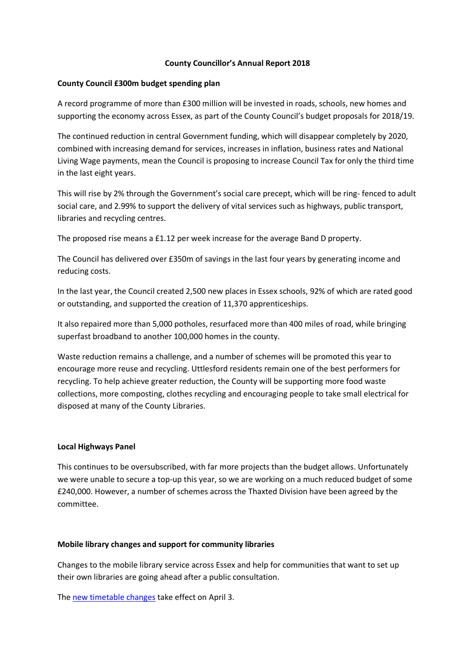# **County Councillor's Annual Report 2018**

# **County Council £300m budget spending plan**

A record programme of more than £300 million will be invested in roads, schools, new homes and supporting the economy across Essex, as part of the County Council's budget proposals for 2018/19.

The continued reduction in central Government funding, which will disappear completely by 2020, combined with increasing demand for services, increases in inflation, business rates and National Living Wage payments, mean the Council is proposing to increase Council Tax for only the third time in the last eight years.

This will rise by 2% through the Government's social care precept, which will be ring- fenced to adult social care, and 2.99% to support the delivery of vital services such as highways, public transport, libraries and recycling centres.

The proposed rise means a £1.12 per week increase for the average Band D property.

The Council has delivered over £350m of savings in the last four years by generating income and reducing costs.

In the last year, the Council created 2,500 new places in Essex schools, 92% of which are rated good or outstanding, and supported the creation of 11,370 apprenticeships.

It also repaired more than 5,000 potholes, resurfaced more than 400 miles of road, while bringing superfast broadband to another 100,000 homes in the county.

Waste reduction remains a challenge, and a number of schemes will be promoted this year to encourage more reuse and recycling. Uttlesford residents remain one of the best performers for recycling. To help achieve greater reduction, the County will be supporting more food waste collections, more composting, clothes recycling and encouraging people to take small electrical for disposed at many of the County Libraries.

## **Local Highways Panel**

This continues to be oversubscribed, with far more projects than the budget allows. Unfortunately we were unable to secure a top-up this year, so we are working on a much reduced budget of some £240,000. However, a number of schemes across the Thaxted Division have been agreed by the committee.

## **Mobile library changes and support for community libraries**

Changes to the mobile library service across Essex and help for communities that want to set up their own libraries are going ahead after a public consultation.

The new timetable changes take effect on April 3.